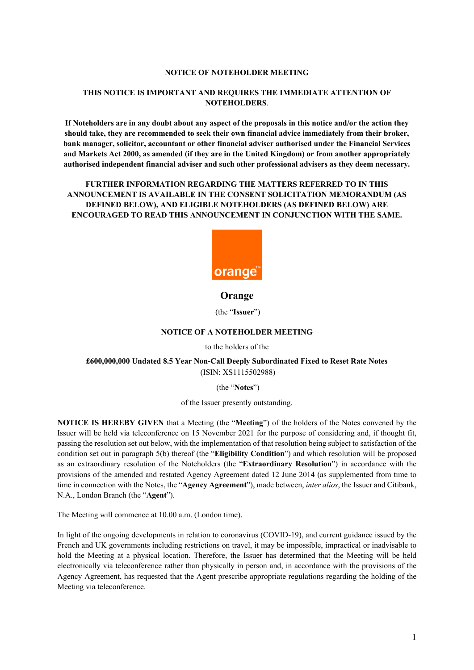#### **NOTICE OF NOTEHOLDER MEETING**

# **THIS NOTICE IS IMPORTANT AND REQUIRES THE IMMEDIATE ATTENTION OF NOTEHOLDERS**.

If Noteholders are in any doubt about any aspect of the proposals in this notice and/or the action they **should take, they are recommended to seek their own financial advice immediately from their broker, bank manager, solicitor, accountant or other financial adviser authorised under the Financial Services and Markets Act 2000, as amended (if they are in the United Kingdom) or from another appropriately authorised independent financial adviser and such other professional advisers as they deem necessary.**

# **FURTHER INFORMATION REGARDING THE MATTERS REFERRED TO IN THIS ANNOUNCEMENT IS AVAILABLE IN THE CONSENT SOLICITATION MEMORANDUM (AS DEFINED BELOW), AND ELIGIBLE NOTEHOLDERS (AS DEFINED BELOW) ARE ENCOURAGED TO READ THIS ANNOUNCEMENT IN CONJUNCTION WITH THE SAME.**



# **Orange**

(the "**Issuer**")

## **NOTICE OF A NOTEHOLDER MEETING**

to the holders of the

## **£600,000,000 Undated 8.5 Year Non-Call Deeply Subordinated Fixed to Reset Rate Notes** (ISIN: XS1115502988)

#### (the "**Notes**")

of the Issuer presently outstanding.

**NOTICE IS HEREBY GIVEN** that a Meeting (the "**Meeting**") of the holders of the Notes convened by the Issuer will be held via teleconference on 15 November 2021 for the purpose of considering and, if thought fit, passing the resolution set out below, with the implementation of that resolution being subject to satisfaction of the condition set out in paragraph 5(b) thereof (the "**Eligibility Condition**") and which resolution will be proposed as an extraordinary resolution of the Noteholders (the "**Extraordinary Resolution**") in accordance with the provisions of the amended and restated Agency Agreement dated 12 June 2014 (as supplemented from time to time in connection with the Notes, the "**Agency Agreement**"), made between, *inter alios*, the Issuer and Citibank, N.A., London Branch (the "**Agent**").

The Meeting will commence at 10.00 a.m. (London time).

In light of the ongoing developments in relation to coronavirus (COVID-19), and current guidance issued by the French and UK governments including restrictions on travel, it may be impossible, impractical or inadvisable to hold the Meeting at a physical location. Therefore, the Issuer has determined that the Meeting will be held electronically via teleconference rather than physically in person and, in accordance with the provisions of the Agency Agreement, has requested that the Agent prescribe appropriate regulations regarding the holding of the Meeting via teleconference.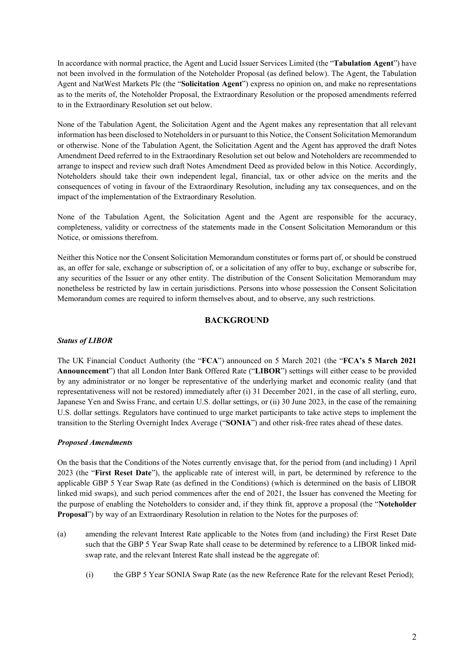In accordance with normal practice, the Agent and Lucid Issuer Services Limited (the "**Tabulation Agent**") have not been involved in the formulation of the Noteholder Proposal (as defined below). The Agent, the Tabulation Agent and NatWest Markets Plc (the "**Solicitation Agent**") express no opinion on, and make no representations as to the merits of, the Noteholder Proposal, the Extraordinary Resolution or the proposed amendments referred to in the Extraordinary Resolution set out below.

None of the Tabulation Agent, the Solicitation Agent and the Agent makes any representation that all relevant information has been disclosed to Noteholdersin or pursuant to this Notice, the ConsentSolicitation Memorandum or otherwise. None of the Tabulation Agent, the Solicitation Agent and the Agent has approved the draft Notes Amendment Deed referred to in the Extraordinary Resolution set out below and Noteholders are recommended to arrange to inspect and review such draft Notes Amendment Deed as provided below in this Notice. Accordingly, Noteholders should take their own independent legal, financial, tax or other advice on the merits and the consequences of voting in favour of the Extraordinary Resolution, including any tax consequences, and on the impact of the implementation of the Extraordinary Resolution.

None of the Tabulation Agent, the Solicitation Agent and the Agent are responsible for the accuracy, completeness, validity or correctness of the statements made in the Consent Solicitation Memorandum or this Notice, or omissions therefrom.

Neither this Notice nor the Consent Solicitation Memorandum constitutes or forms part of, or should be construed as, an offer for sale, exchange or subscription of, or a solicitation of any offer to buy, exchange or subscribe for, any securities of the Issuer or any other entity. The distribution of the Consent Solicitation Memorandum may nonetheless be restricted by law in certain jurisdictions. Persons into whose possession the Consent Solicitation Memorandum comes are required to inform themselves about, and to observe, any such restrictions.

# **BACKGROUND**

### *Status of LIBOR*

The UK Financial Conduct Authority (the "**FCA**") announced on 5 March 2021 (the "**FCA's 5 March 2021 Announcement**") that all London Inter Bank Offered Rate ("**LIBOR**") settings will either cease to be provided by any administrator or no longer be representative of the underlying market and economic reality (and that representativeness will not be restored) immediately after (i) 31 December 2021, in the case of all sterling, euro, Japanese Yen and Swiss Franc, and certain U.S. dollar settings, or (ii) 30 June 2023, in the case of the remaining U.S. dollar settings. Regulators have continued to urge market participants to take active steps to implement the transition to the Sterling Overnight Index Average ("**SONIA**") and other risk-free rates ahead of these dates.

### *Proposed Amendments*

On the basis that the Conditions of the Notes currently envisage that, for the period from (and including) 1 April 2023 (the "**First Reset Date**"), the applicable rate of interest will, in part, be determined by reference to the applicable GBP 5 Year Swap Rate (as defined in the Conditions) (which is determined on the basis of LIBOR linked mid swaps), and such period commences after the end of 2021, the Issuer has convened the Meeting for the purpose of enabling the Noteholders to consider and, if they think fit, approve a proposal (the "**Noteholder Proposal**") by way of an Extraordinary Resolution in relation to the Notes for the purposes of:

- (a) amending the relevant Interest Rate applicable to the Notes from (and including) the First Reset Date such that the GBP 5 Year Swap Rate shall cease to be determined by reference to a LIBOR linked midswap rate, and the relevant Interest Rate shall instead be the aggregate of:
	- (i) the GBP 5 Year SONIA Swap Rate (as the new Reference Rate for the relevant Reset Period);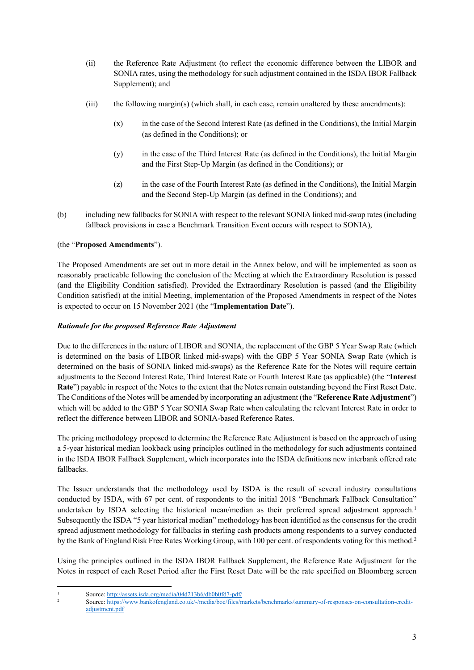- (ii) the Reference Rate Adjustment (to reflect the economic difference between the LIBOR and SONIA rates, using the methodology for such adjustment contained in the ISDA IBOR Fallback Supplement); and
- (iii) the following margin(s) (which shall, in each case, remain unaltered by these amendments):
	- (x) in the case of the Second Interest Rate (as defined in the Conditions), the Initial Margin (as defined in the Conditions); or
	- (y) in the case of the Third Interest Rate (as defined in the Conditions), the Initial Margin and the First Step-Up Margin (as defined in the Conditions); or
	- (z) in the case of the Fourth Interest Rate (as defined in the Conditions), the Initial Margin and the Second Step-Up Margin (as defined in the Conditions); and
- (b) including new fallbacks for SONIA with respect to the relevant SONIA linked mid-swap rates (including fallback provisions in case a Benchmark Transition Event occurs with respect to SONIA),

# (the "**Proposed Amendments**").

The Proposed Amendments are set out in more detail in the Annex below, and will be implemented as soon as reasonably practicable following the conclusion of the Meeting at which the Extraordinary Resolution is passed (and the Eligibility Condition satisfied). Provided the Extraordinary Resolution is passed (and the Eligibility Condition satisfied) at the initial Meeting, implementation of the Proposed Amendments in respect of the Notes is expected to occur on 15 November 2021 (the "**Implementation Date**").

# *Rationale for the proposed Reference Rate Adjustment*

Due to the differences in the nature of LIBOR and SONIA, the replacement of the GBP 5 Year Swap Rate (which is determined on the basis of LIBOR linked mid-swaps) with the GBP 5 Year SONIA Swap Rate (which is determined on the basis of SONIA linked mid-swaps) as the Reference Rate for the Notes will require certain adjustments to the Second Interest Rate, Third Interest Rate or Fourth Interest Rate (as applicable) (the "**Interest Rate**") payable in respect of the Notes to the extent that the Notes remain outstanding beyond the First Reset Date. The Conditions of the Notes will be amended by incorporating an adjustment (the "**Reference Rate Adjustment**") which will be added to the GBP 5 Year SONIA Swap Rate when calculating the relevant Interest Rate in order to reflect the difference between LIBOR and SONIA-based Reference Rates.

The pricing methodology proposed to determine the Reference Rate Adjustment is based on the approach of using a 5-year historical median lookback using principles outlined in the methodology for such adjustments contained in the ISDA IBOR Fallback Supplement, which incorporates into the ISDA definitions new interbank offered rate fallbacks.

The Issuer understands that the methodology used by ISDA is the result of several industry consultations conducted by ISDA, with 67 per cent. of respondents to the initial 2018 "Benchmark Fallback Consultation" undertaken by ISDA selecting the historical mean/median as their preferred spread adjustment approach.<sup>1</sup> Subsequently the ISDA "5 year historical median" methodology has been identified as the consensus for the credit spread adjustment methodology for fallbacks in sterling cash products among respondents to a survey conducted by the Bank of England Risk Free Rates Working Group, with 100 per cent. of respondents voting for this method.<sup>2</sup>

Using the principles outlined in the ISDA IBOR Fallback Supplement, the Reference Rate Adjustment for the Notes in respect of each Reset Period after the First Reset Date will be the rate specified on Bloomberg screen

<sup>&</sup>lt;sup>1</sup><br>Source: <http://assets.isda.org/media/04d213b6/db0b0fd7-pdf/><br>Source: http://assets.isda.org/media/04d213b6/db0b0fd7-pdf/

<sup>2</sup> Source: [https://www.bankofengland.co.uk/-/media/boe/files/markets/benchmarks/summary-of-responses-on-consultation-credit](https://www.bankofengland.co.uk/-/media/boe/files/markets/benchmarks/summary-of-responses-on-consultation-credit-adjustment.pdf)[adjustment.pdf](https://www.bankofengland.co.uk/-/media/boe/files/markets/benchmarks/summary-of-responses-on-consultation-credit-adjustment.pdf)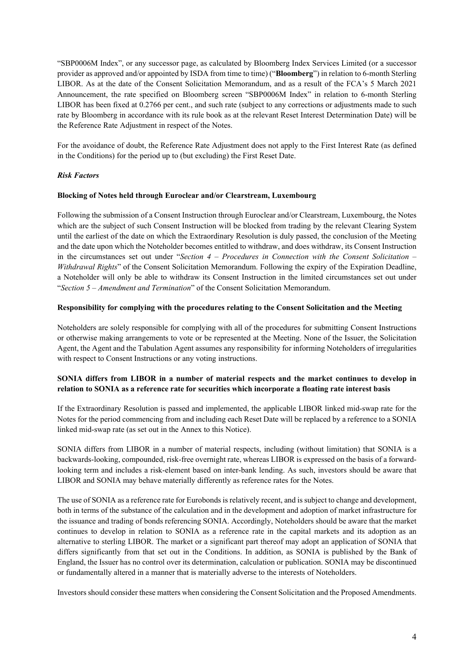"SBP0006M Index", or any successor page, as calculated by Bloomberg Index Services Limited (or a successor provider as approved and/or appointed by ISDA from time to time) ("**Bloomberg**") in relation to 6-monthSterling LIBOR. As at the date of the Consent Solicitation Memorandum, and as a result of the FCA's 5 March 2021 Announcement, the rate specified on Bloomberg screen "SBP0006M Index" in relation to 6-month Sterling LIBOR has been fixed at 0.2766 per cent., and such rate (subject to any corrections or adjustments made to such rate by Bloomberg in accordance with its rule book as at the relevant Reset Interest Determination Date) will be the Reference Rate Adjustment in respect of the Notes.

For the avoidance of doubt, the Reference Rate Adjustment does not apply to the First Interest Rate (as defined in the Conditions) for the period up to (but excluding) the First Reset Date.

### *Risk Factors*

#### **Blocking of Notes held through Euroclear and/or Clearstream, Luxembourg**

Following the submission of a Consent Instruction through Euroclear and/or Clearstream, Luxembourg, the Notes which are the subject of such Consent Instruction will be blocked from trading by the relevant Clearing System until the earliest of the date on which the Extraordinary Resolution is duly passed, the conclusion of the Meeting and the date upon which the Noteholder becomes entitled to withdraw, and does withdraw, its Consent Instruction in the circumstances set out under "*Section 4 – Procedures in Connection with the Consent Solicitation – Withdrawal Rights*" of the Consent Solicitation Memorandum. Following the expiry of the Expiration Deadline, a Noteholder will only be able to withdraw its Consent Instruction in the limited circumstances set out under "*Section 5 – Amendment and Termination*" of the Consent Solicitation Memorandum.

#### **Responsibility for complying with the procedures relating to the Consent Solicitation and the Meeting**

Noteholders are solely responsible for complying with all of the procedures for submitting Consent Instructions or otherwise making arrangements to vote or be represented at the Meeting. None of the Issuer, the Solicitation Agent, the Agent and the Tabulation Agent assumes any responsibility for informing Noteholders of irregularities with respect to Consent Instructions or any voting instructions.

## **SONIA differs from LIBOR in a number of material respects and the market continues to develop in relation to SONIA as a reference rate for securities which incorporate a floating rate interest basis**

If the Extraordinary Resolution is passed and implemented, the applicable LIBOR linked mid-swap rate for the Notes for the period commencing from and including each Reset Date will be replaced by a reference to a SONIA linked mid-swap rate (as set out in the Annex to this Notice).

SONIA differs from LIBOR in a number of material respects, including (without limitation) that SONIA is a backwards-looking, compounded, risk-free overnight rate, whereas LIBOR is expressed on the basis of a forwardlooking term and includes a risk-element based on inter-bank lending. As such, investors should be aware that LIBOR and SONIA may behave materially differently as reference rates for the Notes.

The use of SONIA as a reference rate for Eurobonds is relatively recent, and is subject to change and development, both in terms of the substance of the calculation and in the development and adoption of market infrastructure for the issuance and trading of bonds referencing SONIA. Accordingly, Noteholders should be aware that the market continues to develop in relation to SONIA as a reference rate in the capital markets and its adoption as an alternative to sterling LIBOR. The market or a significant part thereof may adopt an application of SONIA that differs significantly from that set out in the Conditions. In addition, as SONIA is published by the Bank of England, the Issuer has no control over its determination, calculation or publication. SONIA may be discontinued or fundamentally altered in a manner that is materially adverse to the interests of Noteholders.

Investorsshould consider these matters when considering the ConsentSolicitation and theProposed Amendments.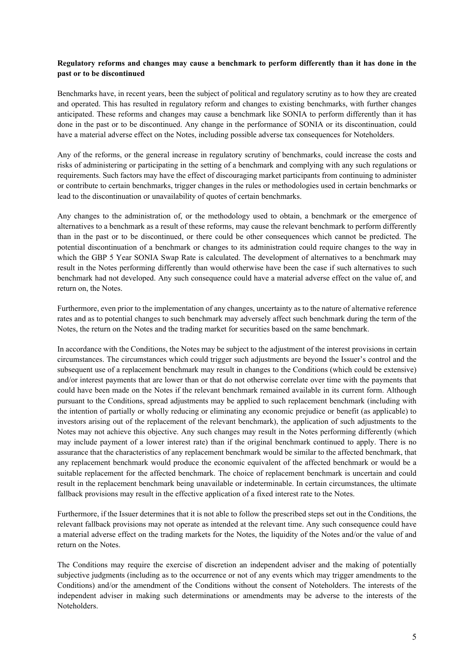# **Regulatory reforms and changes may cause a benchmark to perform differently than it has done in the past or to be discontinued**

Benchmarks have, in recent years, been the subject of political and regulatory scrutiny as to how they are created and operated. This has resulted in regulatory reform and changes to existing benchmarks, with further changes anticipated. These reforms and changes may cause a benchmark like SONIA to perform differently than it has done in the past or to be discontinued. Any change in the performance of SONIA or its discontinuation, could have a material adverse effect on the Notes, including possible adverse tax consequences for Noteholders.

Any of the reforms, or the general increase in regulatory scrutiny of benchmarks, could increase the costs and risks of administering or participating in the setting of a benchmark and complying with any such regulations or requirements. Such factors may have the effect of discouraging market participants from continuing to administer or contribute to certain benchmarks, trigger changes in the rules or methodologies used in certain benchmarks or lead to the discontinuation or unavailability of quotes of certain benchmarks.

Any changes to the administration of, or the methodology used to obtain, a benchmark or the emergence of alternatives to a benchmark as a result of these reforms, may cause the relevant benchmark to perform differently than in the past or to be discontinued, or there could be other consequences which cannot be predicted. The potential discontinuation of a benchmark or changes to its administration could require changes to the way in which the GBP 5 Year SONIA Swap Rate is calculated. The development of alternatives to a benchmark may result in the Notes performing differently than would otherwise have been the case if such alternatives to such benchmark had not developed. Any such consequence could have a material adverse effect on the value of, and return on, the Notes.

Furthermore, even prior to the implementation of any changes, uncertainty as to the nature of alternative reference rates and as to potential changes to such benchmark may adversely affect such benchmark during the term of the Notes, the return on the Notes and the trading market for securities based on the same benchmark.

In accordance with the Conditions, the Notes may be subject to the adjustment of the interest provisions in certain circumstances. The circumstances which could trigger such adjustments are beyond the Issuer's control and the subsequent use of a replacement benchmark may result in changes to the Conditions (which could be extensive) and/or interest payments that are lower than or that do not otherwise correlate over time with the payments that could have been made on the Notes if the relevant benchmark remained available in its current form. Although pursuant to the Conditions, spread adjustments may be applied to such replacement benchmark (including with the intention of partially or wholly reducing or eliminating any economic prejudice or benefit (as applicable) to investors arising out of the replacement of the relevant benchmark), the application of such adjustments to the Notes may not achieve this objective. Any such changes may result in the Notes performing differently (which may include payment of a lower interest rate) than if the original benchmark continued to apply. There is no assurance that the characteristics of any replacement benchmark would be similar to the affected benchmark, that any replacement benchmark would produce the economic equivalent of the affected benchmark or would be a suitable replacement for the affected benchmark. The choice of replacement benchmark is uncertain and could result in the replacement benchmark being unavailable or indeterminable. In certain circumstances, the ultimate fallback provisions may result in the effective application of a fixed interest rate to the Notes.

Furthermore, if the Issuer determines that it is not able to follow the prescribed steps set out in the Conditions, the relevant fallback provisions may not operate as intended at the relevant time. Any such consequence could have a material adverse effect on the trading markets for the Notes, the liquidity of the Notes and/or the value of and return on the Notes.

The Conditions may require the exercise of discretion an independent adviser and the making of potentially subjective judgments (including as to the occurrence or not of any events which may trigger amendments to the Conditions) and/or the amendment of the Conditions without the consent of Noteholders. The interests of the independent adviser in making such determinations or amendments may be adverse to the interests of the Noteholders.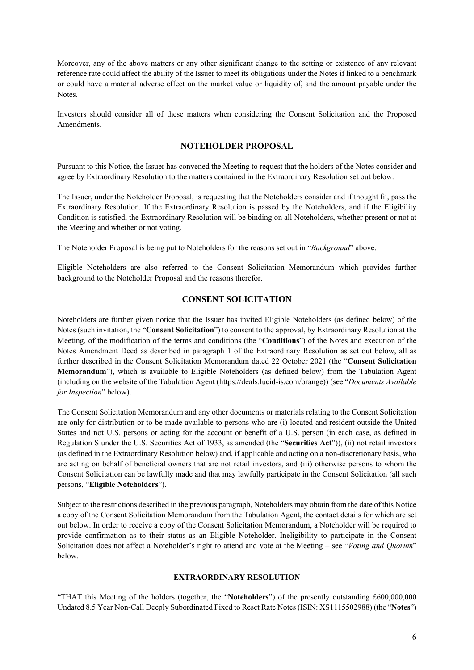Moreover, any of the above matters or any other significant change to the setting or existence of any relevant reference rate could affect the ability of the Issuer to meet its obligations under the Notes if linked to a benchmark or could have a material adverse effect on the market value or liquidity of, and the amount payable under the Notes.

Investors should consider all of these matters when considering the Consent Solicitation and the Proposed Amendments.

## **NOTEHOLDER PROPOSAL**

Pursuant to this Notice, the Issuer has convened the Meeting to request that the holders of the Notes consider and agree by Extraordinary Resolution to the matters contained in the Extraordinary Resolution set out below.

The Issuer, under the Noteholder Proposal, is requesting that the Noteholders consider and if thought fit, pass the Extraordinary Resolution. If the Extraordinary Resolution is passed by the Noteholders, and if the Eligibility Condition is satisfied, the Extraordinary Resolution will be binding on all Noteholders, whether present or not at the Meeting and whether or not voting.

The Noteholder Proposal is being put to Noteholders for the reasons set out in "*Background*" above.

Eligible Noteholders are also referred to the Consent Solicitation Memorandum which provides further background to the Noteholder Proposal and the reasons therefor.

# **CONSENT SOLICITATION**

Noteholders are further given notice that the Issuer has invited Eligible Noteholders (as defined below) of the Notes (such invitation, the "**Consent Solicitation**") to consent to the approval, by Extraordinary Resolution at the Meeting, of the modification of the terms and conditions (the "**Conditions**") of the Notes and execution of the Notes Amendment Deed as described in paragraph [1](#page-5-0) of the Extraordinary Resolution as set out below, all as further described in the Consent Solicitation Memorandum dated 22 October 2021 (the "**Consent Solicitation Memorandum**"), which is available to Eligible Noteholders (as defined below) from the Tabulation Agent (including on the website of the Tabulation Agent (https://deals.lucid-is.com/orange)) (see "*Documents Available for Inspection*" below).

The Consent Solicitation Memorandum and any other documents or materials relating to the Consent Solicitation are only for distribution or to be made available to persons who are (i) located and resident outside the United States and not U.S. persons or acting for the account or benefit of a U.S. person (in each case, as defined in Regulation S under the U.S. Securities Act of 1933, as amended (the "**Securities Act**")), (ii) not retail investors (as defined in the Extraordinary Resolution below) and, if applicable and acting on a non-discretionary basis, who are acting on behalf of beneficial owners that are not retail investors, and (iii) otherwise persons to whom the Consent Solicitation can be lawfully made and that may lawfully participate in the Consent Solicitation (all such persons, "**Eligible Noteholders**").

Subject to the restrictions described in the previous paragraph, Noteholders may obtain from the date of this Notice a copy of the Consent Solicitation Memorandum from the Tabulation Agent, the contact details for which are set out below. In order to receive a copy of the Consent Solicitation Memorandum, a Noteholder will be required to provide confirmation as to their status as an Eligible Noteholder. Ineligibility to participate in the Consent Solicitation does not affect a Noteholder's right to attend and vote at the Meeting – see "*Voting and Quorum*" below.

## <span id="page-5-0"></span>**EXTRAORDINARY RESOLUTION**

"THAT this Meeting of the holders (together, the "**Noteholders**") of the presently outstanding £600,000,000 Undated 8.5 Year Non-Call Deeply Subordinated Fixed to Reset Rate Notes (ISIN: XS1115502988) (the "Notes")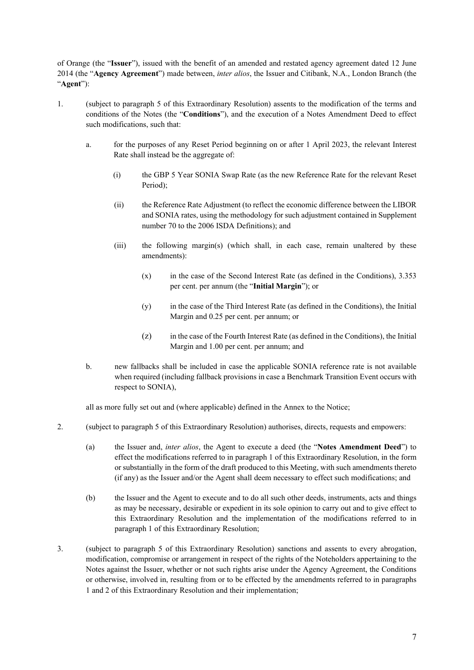of Orange (the "**Issuer**"), issued with the benefit of an amended and restated agency agreement dated 12 June 2014 (the "**Agency Agreement**") made between, *inter alios*, the Issuer and Citibank, N.A., London Branch (the "**Agent**"):

- 1. (subject to paragraph 5 [o](#page-5-0)f this Extraordinary Resolution) assents to the modification of the terms and conditions of the Notes (the "**Conditions**"), and the execution of a Notes Amendment Deed to effect such modifications, such that:
	- a. for the purposes of any Reset Period beginning on or after 1 April 2023, the relevant Interest Rate shall instead be the aggregate of:
		- (i) the GBP 5 Year SONIA Swap Rate (as the new Reference Rate for the relevant Reset Period);
		- (ii) the Reference Rate Adjustment (to reflect the economic difference between the LIBOR and SONIA rates, using the methodology for such adjustment contained in Supplement number 70 to the 2006 ISDA Definitions); and
		- (iii) the following margin(s) (which shall, in each case, remain unaltered by these amendments):
			- (x) in the case of the Second Interest Rate (as defined in the Conditions), 3.353 per cent. per annum (the "**Initial Margin**"); or
			- (y) in the case of the Third Interest Rate (as defined in the Conditions), the Initial Margin and 0.25 per cent. per annum; or
			- (z) in the case of the Fourth Interest Rate (as defined in the Conditions), the Initial Margin and 1.00 per cent. per annum; and
	- b. new fallbacks shall be included in case the applicable SONIA reference rate is not available when required (including fallback provisions in case a Benchmark Transition Event occurs with respect to SONIA),

all as more fully set out and (where applicable) defined in the Annex to the Notice;

- 2. (subject to paragraph 5 of this Extraordinary Resolution) authorises, directs, requests and empowers:
	- (a) the Issuer and, *inter alios*, the Agent to execute a deed (the "**Notes Amendment Deed**") to effect the modifications referred to in paragraph 1 of this Extraordinary Resolution, in the form or substantially in the form of the draft produced to this Meeting, with such amendments thereto (if any) as the Issuer and/or the Agent shall deem necessary to effect such modifications; and
	- (b) the Issuer and the Agent to execute and to do all such other deeds, instruments, acts and things as may be necessary, desirable or expedient in its sole opinion to carry out and to give effect to this Extraordinary Resolution and the implementation of the modifications referred to in paragraph 1 of this Extraordinary Resolution;
- 3. (subject to paragraph 5 of this Extraordinary Resolution) sanctions and assents to every abrogation, modification, compromise or arrangement in respect of the rights of the Noteholders appertaining to the Notes against the Issuer, whether or not such rights arise under the Agency Agreement, the Conditions or otherwise, involved in, resulting from or to be effected by the amendments referred to in paragraphs 1 and 2 of this Extraordinary Resolution and their implementation;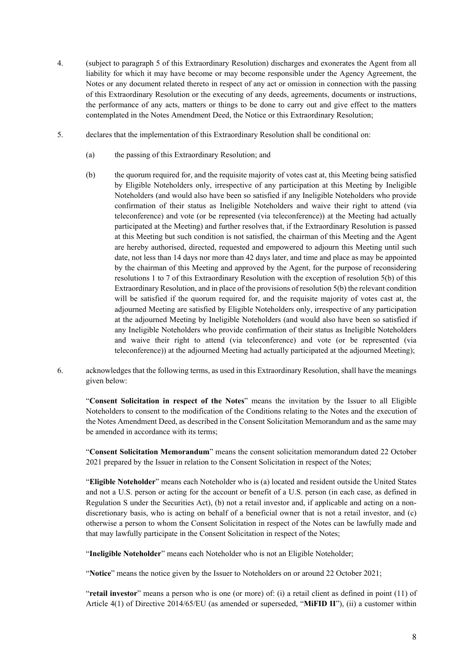- 4. (subject to paragraph 5 of this Extraordinary Resolution) discharges and exonerates the Agent from all liability for which it may have become or may become responsible under the Agency Agreement, the Notes or any document related thereto in respect of any act or omission in connection with the passing of this Extraordinary Resolution or the executing of any deeds, agreements, documents or instructions, the performance of any acts, matters or things to be done to carry out and give effect to the matters contemplated in the Notes Amendment Deed, the Notice or this Extraordinary Resolution;
- 5. declares that the implementation of this Extraordinary Resolution shall be conditional on:
	- (a) the passing of this Extraordinary Resolution; and
	- (b) the quorum required for, and the requisite majority of votes cast at, this Meeting being satisfied by Eligible Noteholders only, irrespective of any participation at this Meeting by Ineligible Noteholders (and would also have been so satisfied if any Ineligible Noteholders who provide confirmation of their status as Ineligible Noteholders and waive their right to attend (via teleconference) and vote (or be represented (via teleconference)) at the Meeting had actually participated at the Meeting) and further resolves that, if the Extraordinary Resolution is passed at this Meeting but such condition is not satisfied, the chairman of this Meeting and the Agent are hereby authorised, directed, requested and empowered to adjourn this Meeting until such date, not less than 14 days nor more than 42 days later, and time and place as may be appointed by the chairman of this Meeting and approved by the Agent, for the purpose of reconsidering resolutions 1 to 7 of this Extraordinary Resolution with the exception of resolution [5\(b\)](#page-5-0) of this Extraordinary Resolution, and in place of the provisions of resolution 5(b) the relevant condition will be satisfied if the quorum required for, and the requisite majority of votes cast at, the adjourned Meeting are satisfied by Eligible Noteholders only, irrespective of any participation at the adjourned Meeting by Ineligible Noteholders (and would also have been so satisfied if any Ineligible Noteholders who provide confirmation of their status as Ineligible Noteholders and waive their right to attend (via teleconference) and vote (or be represented (via teleconference)) at the adjourned Meeting had actually participated at the adjourned Meeting);
- 6. acknowledges that the following terms, as used in this Extraordinary Resolution, shall have the meanings given below:

"**Consent Solicitation in respect of the Notes**" means the invitation by the Issuer to all Eligible Noteholders to consent to the modification of the Conditions relating to the Notes and the execution of the Notes Amendment Deed, as described in the Consent Solicitation Memorandum and as the same may be amended in accordance with its terms;

"**Consent Solicitation Memorandum**" means the consent solicitation memorandum dated 22 October 2021 prepared by the Issuer in relation to the Consent Solicitation in respect of the Notes;

"**Eligible Noteholder**" means each Noteholder who is (a) located and resident outside the United States and not a U.S. person or acting for the account or benefit of a U.S. person (in each case, as defined in Regulation S under the Securities Act), (b) not a retail investor and, if applicable and acting on a nondiscretionary basis, who is acting on behalf of a beneficial owner that is not a retail investor, and (c) otherwise a person to whom the Consent Solicitation in respect of the Notes can be lawfully made and that may lawfully participate in the Consent Solicitation in respect of the Notes;

"**Ineligible Noteholder**" means each Noteholder who is not an Eligible Noteholder;

"**Notice**" means the notice given by the Issuer to Noteholders on or around 22 October 2021;

"**retail investor**" means a person who is one (or more) of: (i) a retail client as defined in point (11) of Article 4(1) of Directive 2014/65/EU (as amended or superseded, "**MiFID II**"), (ii) a customer within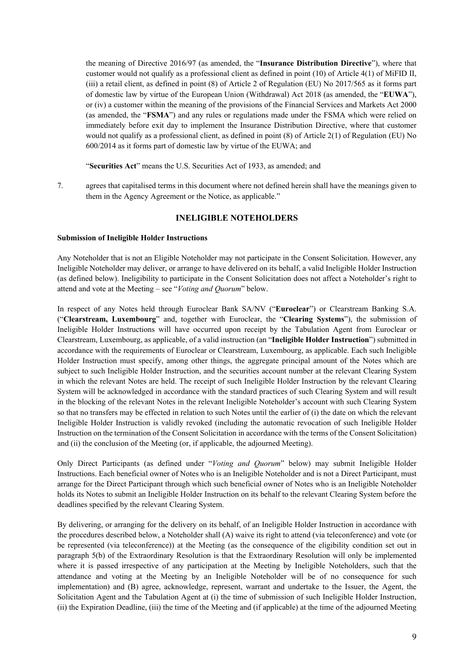the meaning of Directive 2016/97 (as amended, the "**Insurance Distribution Directive**"), where that customer would not qualify as a professional client as defined in point (10) of Article 4(1) of MiFID II, (iii) a retail client, as defined in point (8) of Article 2 of Regulation (EU) No 2017/565 as it forms part of domestic law by virtue of the European Union (Withdrawal) Act 2018 (as amended, the "**EUWA**"), or (iv) a customer within the meaning of the provisions of the Financial Services and Markets Act 2000 (as amended, the "**FSMA**") and any rules or regulations made under the FSMA which were relied on immediately before exit day to implement the Insurance Distribution Directive, where that customer would not qualify as a professional client, as defined in point (8) of Article 2(1) of Regulation (EU) No 600/2014 as it forms part of domestic law by virtue of the EUWA; and

"**Securities Act**" means the U.S. Securities Act of 1933, as amended; and

7. agrees that capitalised terms in this document where not defined herein shall have the meanings given to them in the Agency Agreement or the Notice, as applicable."

## **INELIGIBLE NOTEHOLDERS**

#### **Submission of Ineligible Holder Instructions**

Any Noteholder that is not an Eligible Noteholder may not participate in the Consent Solicitation. However, any Ineligible Noteholder may deliver, or arrange to have delivered on its behalf, a valid Ineligible Holder Instruction (as defined below). Ineligibility to participate in the Consent Solicitation does not affect a Noteholder's right to attend and vote at the Meeting – see "*Voting and Quorum*" below.

In respect of any Notes held through Euroclear Bank SA/NV ("**Euroclear**") or Clearstream Banking S.A. ("**Clearstream, Luxembourg**" and, together with Euroclear, the "**Clearing Systems**"), the submission of Ineligible Holder Instructions will have occurred upon receipt by the Tabulation Agent from Euroclear or Clearstream, Luxembourg, as applicable, of a valid instruction (an "**Ineligible Holder Instruction**") submitted in accordance with the requirements of Euroclear or Clearstream, Luxembourg, as applicable. Each such Ineligible Holder Instruction must specify, among other things, the aggregate principal amount of the Notes which are subject to such Ineligible Holder Instruction, and the securities account number at the relevant Clearing System in which the relevant Notes are held. The receipt of such Ineligible Holder Instruction by the relevant Clearing System will be acknowledged in accordance with the standard practices of such Clearing System and will result in the blocking of the relevant Notes in the relevant Ineligible Noteholder's account with such Clearing System so that no transfers may be effected in relation to such Notes until the earlier of (i) the date on which the relevant Ineligible Holder Instruction is validly revoked (including the automatic revocation of such Ineligible Holder Instruction on the termination of the ConsentSolicitation in accordance with the terms of the ConsentSolicitation) and (ii) the conclusion of the Meeting (or, if applicable, the adjourned Meeting).

Only Direct Participants (as defined under "*Voting and [Quorum](#page-11-0)*" below) may submit Ineligible Holder Instructions. Each beneficial owner of Notes who is an Ineligible Noteholder and is not a Direct Participant, must arrange for the Direct Participant through which such beneficial owner of Notes who is an Ineligible Noteholder holds its Notes to submit an Ineligible Holder Instruction on its behalf to the relevant Clearing System before the deadlines specified by the relevant Clearing System.

By delivering, or arranging for the delivery on its behalf, of an Ineligible Holder Instruction in accordance with the procedures described below, a Noteholder shall (A) waive its right to attend (via teleconference) and vote (or be represented (via teleconference)) at the Meeting (as the consequence of the eligibility condition set out in paragraph 5(b) of the Extraordinary Resolution is that the Extraordinary Resolution will only be implemented where it is passed irrespective of any participation at the Meeting by Ineligible Noteholders, such that the attendance and voting at the Meeting by an Ineligible Noteholder will be of no consequence for such implementation) and (B) agree, acknowledge, represent, warrant and undertake to the Issuer, the Agent, the Solicitation Agent and the Tabulation Agent at (i) the time of submission of such Ineligible Holder Instruction, (ii) the Expiration Deadline, (iii) the time of the Meeting and (if applicable) at the time of the adjourned Meeting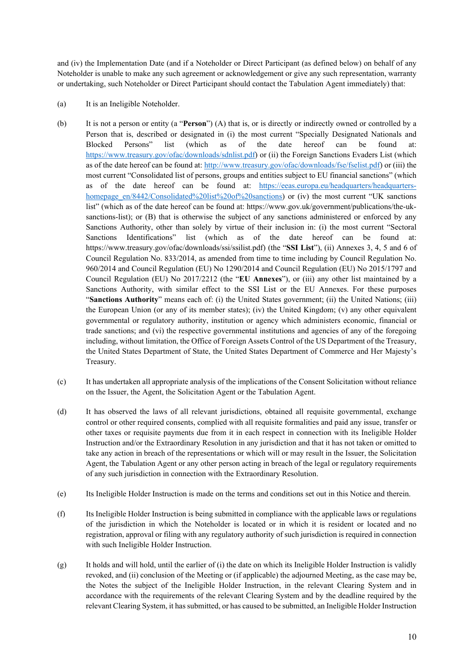and (iv) the Implementation Date (and if a Noteholder or Direct Participant (as defined below) on behalf of any Noteholder is unable to make any such agreement or acknowledgement or give any such representation, warranty or undertaking, such Noteholder or Direct Participant should contact the Tabulation Agent immediately) that:

- <span id="page-9-0"></span>(a) It is an Ineligible Noteholder.
- (b) It is not a person or entity (a "**Person**") (A) that is, or is directly or indirectly owned or controlled by a Person that is, described or designated in (i) the most current "Specially Designated Nationals and Blocked Persons" list (which as of the date hereof can be found at: <https://www.treasury.gov/ofac/downloads/sdnlist.pdf>) or (ii) the Foreign Sanctions Evaders List (which as of the date hereof can be found at: <http://www.treasury.gov/ofac/downloads/fse/fselist.pdf>) or (iii) the most current "Consolidated list of persons, groups and entities subject to EU financial sanctions" (which as of the date hereof can be found at: [https://eeas.europa.eu/headquarters/headquarters](https://eeas.europa.eu/headquarters/headquarters-homepage_en/8442/Consolidated%20list%20of%20sanctions)[homepage\\_en/8442/Consolidated%20list%20of%20sanctions\)](https://eeas.europa.eu/headquarters/headquarters-homepage_en/8442/Consolidated%20list%20of%20sanctions) or (iv) the most current "UK sanctions list" (which as of the date hereof can be found at: https://www.gov.uk/government/publications/the-uksanctions-list); or (B) that is otherwise the subject of any sanctions administered or enforced by any Sanctions Authority, other than solely by virtue of their inclusion in: (i) the most current "Sectoral Sanctions Identifications" list (which as of the date hereof can be found at: [https://www.treasury.gov/ofac/downloads/ssi/ssilist.pdf\)](http://www.treasury.gov/ofac/downloads/ssi/ssilist.pdf)) (the "**SSI List**"), (ii) Annexes 3, 4, 5 and 6 of Council Regulation No. 833/2014, as amended from time to time including by Council Regulation No. 960/2014 and Council Regulation (EU) No 1290/2014 and Council Regulation (EU) No 2015/1797 and Council Regulation (EU) No 2017/2212 (the "**EU Annexes**"), or (iii) any other list maintained by a Sanctions Authority, with similar effect to the SSI List or the EU Annexes. For these purposes "**Sanctions Authority**" means each of: (i) the United States government; (ii) the United Nations; (iii) the European Union (or any of its member states); (iv) the United Kingdom; (v) any other equivalent governmental or regulatory authority, institution or agency which administers economic, financial or trade sanctions; and (vi) the respective governmental institutions and agencies of any of the foregoing including, without limitation, the Office of Foreign Assets Control of the US Department of the Treasury, the United States Department of State, the United States Department of Commerce and Her Majesty's Treasury.
- (c) It has undertaken all appropriate analysis of the implications of the Consent Solicitation without reliance on the Issuer, the Agent, the Solicitation Agent or the Tabulation Agent.
- (d) It has observed the laws of all relevant jurisdictions, obtained all requisite governmental, exchange control or other required consents, complied with all requisite formalities and paid any issue, transfer or other taxes or requisite payments due from it in each respect in connection with its Ineligible Holder Instruction and/or the Extraordinary Resolution in any jurisdiction and that it has not taken or omitted to take any action in breach of the representations or which will or may result in the Issuer, the Solicitation Agent, the Tabulation Agent or any other person acting in breach of the legal or regulatory requirements of any such jurisdiction in connection with the Extraordinary Resolution.
- (e) Its Ineligible Holder Instruction is made on the terms and conditions set out in this Notice and therein.
- (f) Its Ineligible Holder Instruction is being submitted in compliance with the applicable laws or regulations of the jurisdiction in which the Noteholder is located or in which it is resident or located and no registration, approval or filing with any regulatory authority of such jurisdiction is required in connection with such Ineligible Holder Instruction.
- $(g)$  It holds and will hold, until the earlier of (i) the date on which its Ineligible Holder Instruction is validly revoked, and (ii) conclusion of the Meeting or (if applicable) the adjourned Meeting, as the case may be, the Notes the subject of the Ineligible Holder Instruction, in the relevant Clearing System and in accordance with the requirements of the relevant Clearing System and by the deadline required by the relevant Clearing System, it has submitted, or has caused to be submitted, an Ineligible Holder Instruction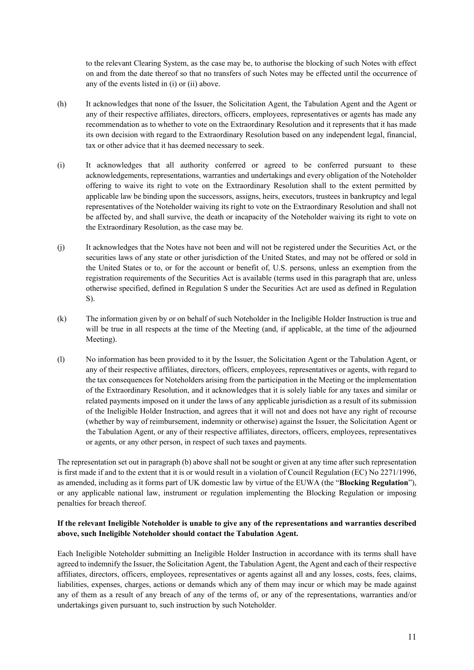to the relevant Clearing System, as the case may be, to authorise the blocking of such Notes with effect on and from the date thereof so that no transfers of such Notes may be effected until the occurrence of any of the events listed in (i) or (ii) above.

- (h) It acknowledges that none of the Issuer, the Solicitation Agent, the Tabulation Agent and the Agent or any of their respective affiliates, directors, officers, employees, representatives or agents has made any recommendation as to whether to vote on the Extraordinary Resolution and it represents that it has made its own decision with regard to the Extraordinary Resolution based on any independent legal, financial, tax or other advice that it has deemed necessary to seek.
- (i) It acknowledges that all authority conferred or agreed to be conferred pursuant to these acknowledgements, representations, warranties and undertakings and every obligation of the Noteholder offering to waive its right to vote on the Extraordinary Resolution shall to the extent permitted by applicable law be binding upon the successors, assigns, heirs, executors, trustees in bankruptcy and legal representatives of the Noteholder waiving its right to vote on the Extraordinary Resolution and shall not be affected by, and shall survive, the death or incapacity of the Noteholder waiving its right to vote on the Extraordinary Resolution, as the case may be.
- (j) It acknowledges that the Notes have not been and will not be registered under the Securities Act, or the securities laws of any state or other jurisdiction of the United States, and may not be offered or sold in the United States or to, or for the account or benefit of, U.S. persons, unless an exemption from the registration requirements of the Securities Act is available (terms used in this paragraph that are, unless otherwise specified, defined in Regulation S under the Securities Act are used as defined in Regulation S).
- (k) The information given by or on behalf of such Noteholder in the Ineligible Holder Instruction is true and will be true in all respects at the time of the Meeting (and, if applicable, at the time of the adjourned Meeting).
- (l) No information has been provided to it by the Issuer, the Solicitation Agent or the Tabulation Agent, or any of their respective affiliates, directors, officers, employees, representatives or agents, with regard to the tax consequences for Noteholders arising from the participation in the Meeting or the implementation of the Extraordinary Resolution, and it acknowledges that it is solely liable for any taxes and similar or related payments imposed on it under the laws of any applicable jurisdiction as a result of its submission of the Ineligible Holder Instruction, and agrees that it will not and does not have any right of recourse (whether by way of reimbursement, indemnity or otherwise) against the Issuer, the Solicitation Agent or the Tabulation Agent, or any of their respective affiliates, directors, officers, employees, representatives or agents, or any other person, in respect of such taxes and payments.

The representation set out in paragraph [\(b\)](#page-9-0) above shall not be sought or given at any time after such representation is first made if and to the extent that it is or would result in a violation of Council Regulation (EC) No 2271/1996, as amended, including as it forms part of UK domestic law by virtue of the EUWA (the "**Blocking Regulation**"), or any applicable national law, instrument or regulation implementing the Blocking Regulation or imposing penalties for breach thereof.

# **If the relevant Ineligible Noteholder is unable to give any of the representations and warranties described above, such Ineligible Noteholder should contact the Tabulation Agent.**

Each Ineligible Noteholder submitting an Ineligible Holder Instruction in accordance with its terms shall have agreed to indemnify the Issuer, the Solicitation Agent, the Tabulation Agent, the Agent and each of their respective affiliates, directors, officers, employees, representatives or agents against all and any losses, costs, fees, claims, liabilities, expenses, charges, actions or demands which any of them may incur or which may be made against any of them as a result of any breach of any of the terms of, or any of the representations, warranties and/or undertakings given pursuant to, such instruction by such Noteholder.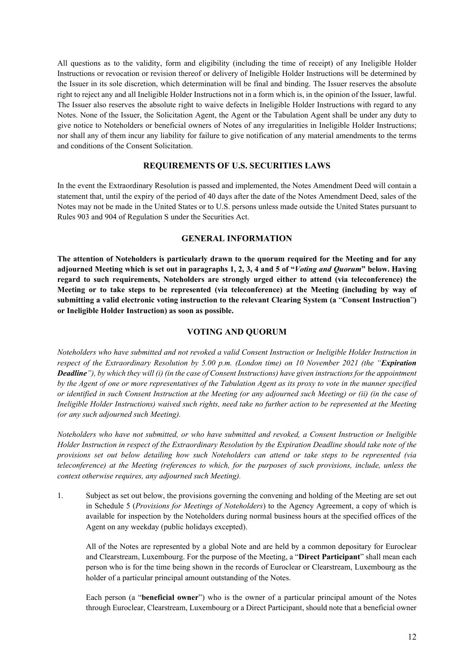All questions as to the validity, form and eligibility (including the time of receipt) of any Ineligible Holder Instructions or revocation or revision thereof or delivery of Ineligible Holder Instructions will be determined by the Issuer in its sole discretion, which determination will be final and binding. The Issuer reserves the absolute right to reject any and all Ineligible Holder Instructions not in a form which is, in the opinion of the Issuer, lawful. The Issuer also reserves the absolute right to waive defects in Ineligible Holder Instructions with regard to any Notes. None of the Issuer, the Solicitation Agent, the Agent or the Tabulation Agent shall be under any duty to give notice to Noteholders or beneficial owners of Notes of any irregularities in Ineligible Holder Instructions; nor shall any of them incur any liability for failure to give notification of any material amendments to the terms and conditions of the Consent Solicitation.

#### **REQUIREMENTS OF U.S. SECURITIES LAWS**

In the event the Extraordinary Resolution is passed and implemented, the Notes Amendment Deed will contain a statement that, until the expiry of the period of 40 days after the date of the Notes Amendment Deed, sales of the Notes may not be made in the United States or to U.S. persons unless made outside the United States pursuant to Rules 903 and 904 of Regulation S under the Securities Act.

#### **GENERAL INFORMATION**

**The attention of Noteholders is particularly drawn to the quorum required for the Meeting and for any** adjourned Meeting which is set out in paragraphs [1](#page-11-1), [2](#page-13-0), [3,](#page-13-1) [4](#page-13-2) and [5](#page-14-0) of "[Voting](#page-11-0) and [Quorum](#page-11-0)" below. Having **regard to such requirements, Noteholders are strongly urged either to attend (via teleconference) the Meeting or to take steps to be represented (via teleconference) at the Meeting (including by way of submitting a valid electronic voting instruction to the relevant Clearing System (a** "**Consent Instruction**"**) or Ineligible Holder Instruction) as soon as possible.**

#### <span id="page-11-0"></span>**VOTING AND QUORUM**

*Noteholders who have submitted and not revoked a valid Consent Instruction or Ineligible Holder Instruction in respect of the Extraordinary Resolution by 5.00 p.m. (London time) on 10 November 2021 (the "Expiration* **Deadline**"), by which they will (i) (in the case of Consent Instructions) have given instructions for the appointment by the Agent of one or more representatives of the Tabulation Agent as its proxy to vote in the manner specified or identified in such Consent Instruction at the Meeting (or any adjourned such Meeting) or (ii) (in the case of Ineligible Holder Instructions) waived such rights, need take no further action to be represented at the Meeting *(or any such adjourned such Meeting).*

*Noteholders who have not submitted, or who have submitted and revoked, a Consent Instruction or Ineligible* Holder Instruction in respect of the Extraordinary Resolution by the Expiration Deadline should take note of the *provisions set out below detailing how such Noteholders can attend or take steps to be represented (via teleconference) at the Meeting (references to which, for the purposes of such provisions, include, unless the context otherwise requires, any adjourned such Meeting).*

<span id="page-11-1"></span>1. Subject as set out below, the provisions governing the convening and holding of the Meeting are set out in Schedule 5 (*Provisions for Meetings of Noteholders*) to the Agency Agreement, a copy of which is available for inspection by the Noteholders during normal business hours at the specified offices of the Agent on any weekday (public holidays excepted).

All of the Notes are represented by a global Note and are held by a common depositary for Euroclear and Clearstream, Luxembourg. For the purpose of the Meeting, a "**Direct Participant**" shall mean each person who is for the time being shown in the records of Euroclear or Clearstream, Luxembourg as the holder of a particular principal amount outstanding of the Notes.

Each person (a "**beneficial owner**") who is the owner of a particular principal amount of the Notes through Euroclear, Clearstream, Luxembourg or a Direct Participant, should note that a beneficial owner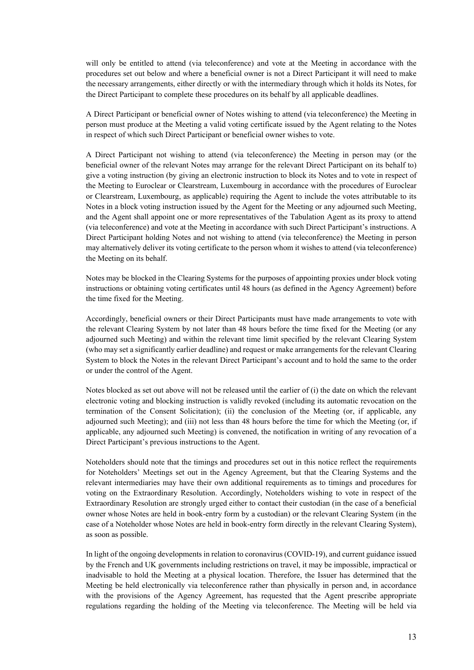will only be entitled to attend (via teleconference) and vote at the Meeting in accordance with the procedures set out below and where a beneficial owner is not a Direct Participant it will need to make the necessary arrangements, either directly or with the intermediary through which it holds its Notes, for the Direct Participant to complete these procedures on its behalf by all applicable deadlines.

A Direct Participant or beneficial owner of Notes wishing to attend (via teleconference) the Meeting in person must produce at the Meeting a valid voting certificate issued by the Agent relating to the Notes in respect of which such Direct Participant or beneficial owner wishes to vote.

A Direct Participant not wishing to attend (via teleconference) the Meeting in person may (or the beneficial owner of the relevant Notes may arrange for the relevant Direct Participant on its behalf to) give a voting instruction (by giving an electronic instruction to block its Notes and to vote in respect of the Meeting to Euroclear or Clearstream, Luxembourg in accordance with the procedures of Euroclear or Clearstream, Luxembourg, as applicable) requiring the Agent to include the votes attributable to its Notes in a block voting instruction issued by the Agent for the Meeting or any adjourned such Meeting, and the Agent shall appoint one or more representatives of the Tabulation Agent as its proxy to attend (via teleconference) and vote at the Meeting in accordance with such Direct Participant's instructions. A Direct Participant holding Notes and not wishing to attend (via teleconference) the Meeting in person may alternatively deliver its voting certificate to the person whom it wishes to attend (via teleconference) the Meeting on its behalf.

Notes may be blocked in the Clearing Systems for the purposes of appointing proxies under block voting instructions or obtaining voting certificates until 48 hours (as defined in the Agency Agreement) before the time fixed for the Meeting.

Accordingly, beneficial owners or their Direct Participants must have made arrangements to vote with the relevant Clearing System by not later than 48 hours before the time fixed for the Meeting (or any adjourned such Meeting) and within the relevant time limit specified by the relevant Clearing System (who may set a significantly earlier deadline) and request or make arrangements for the relevant Clearing System to block the Notes in the relevant Direct Participant's account and to hold the same to the order or under the control of the Agent.

Notes blocked as set out above will not be released until the earlier of (i) the date on which the relevant electronic voting and blocking instruction is validly revoked (including its automatic revocation on the termination of the Consent Solicitation); (ii) the conclusion of the Meeting (or, if applicable, any adjourned such Meeting); and (iii) not less than 48 hours before the time for which the Meeting (or, if applicable, any adjourned such Meeting) is convened, the notification in writing of any revocation of a Direct Participant's previous instructions to the Agent.

Noteholders should note that the timings and procedures set out in this notice reflect the requirements for Noteholders' Meetings set out in the Agency Agreement, but that the Clearing Systems and the relevant intermediaries may have their own additional requirements as to timings and procedures for voting on the Extraordinary Resolution. Accordingly, Noteholders wishing to vote in respect of the Extraordinary Resolution are strongly urged either to contact their custodian (in the case of a beneficial owner whose Notes are held in book-entry form by a custodian) or the relevant Clearing System (in the case of a Noteholder whose Notes are held in book-entry form directly in the relevant Clearing System), as soon as possible.

In light of the ongoing developments in relation to coronavirus (COVID-19), and current guidance issued by the French and UK governments including restrictions on travel, it may be impossible, impractical or inadvisable to hold the Meeting at a physical location. Therefore, the Issuer has determined that the Meeting be held electronically via teleconference rather than physically in person and, in accordance with the provisions of the Agency Agreement, has requested that the Agent prescribe appropriate regulations regarding the holding of the Meeting via teleconference. The Meeting will be held via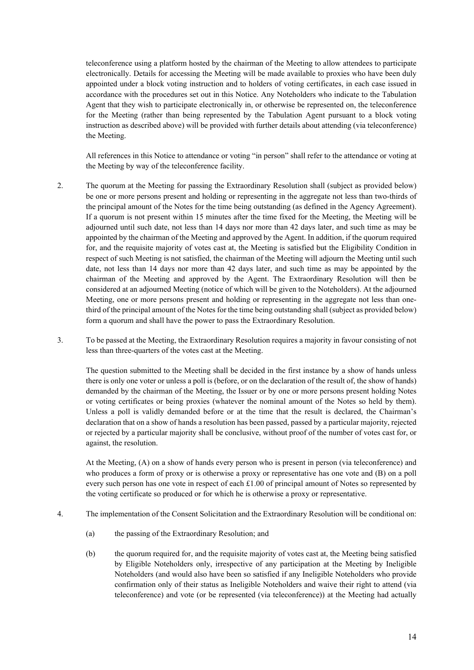teleconference using a platform hosted by the chairman of the Meeting to allow attendees to participate electronically. Details for accessing the Meeting will be made available to proxies who have been duly appointed under a block voting instruction and to holders of voting certificates, in each case issued in accordance with the procedures set out in this Notice. Any Noteholders who indicate to the Tabulation Agent that they wish to participate electronically in, or otherwise be represented on, the teleconference for the Meeting (rather than being represented by the Tabulation Agent pursuant to a block voting instruction as described above) will be provided with further details about attending (via teleconference) the Meeting.

All references in this Notice to attendance or voting "in person" shall refer to the attendance or voting at the Meeting by way of the teleconference facility.

- <span id="page-13-0"></span>2. The quorum at the Meeting for passing the Extraordinary Resolution shall (subject as provided below) be one or more persons present and holding or representing in the aggregate not less than two-thirds of the principal amount of the Notes for the time being outstanding (as defined in the Agency Agreement). If a quorum is not present within 15 minutes after the time fixed for the Meeting, the Meeting will be adjourned until such date, not less than 14 days nor more than 42 days later, and such time as may be appointed by the chairman of the Meeting and approved by the Agent. In addition, if the quorum required for, and the requisite majority of votes cast at, the Meeting is satisfied but the Eligibility Condition in respect of such Meeting is not satisfied, the chairman of the Meeting will adjourn the Meeting until such date, not less than 14 days nor more than 42 days later, and such time as may be appointed by the chairman of the Meeting and approved by the Agent. The Extraordinary Resolution will then be considered at an adjourned Meeting (notice of which will be given to the Noteholders). At the adjourned Meeting, one or more persons present and holding or representing in the aggregate not less than onethird of the principal amount of the Notes for the time being outstanding shall (subject as provided below) form a quorum and shall have the power to pass the Extraordinary Resolution.
- <span id="page-13-1"></span>3. To be passed at the Meeting, the Extraordinary Resolution requires a majority in favour consisting of not less than three-quarters of the votes cast at the Meeting.

The question submitted to the Meeting shall be decided in the first instance by a show of hands unless there is only one voter or unless a poll is (before, or on the declaration of the result of, the show of hands) demanded by the chairman of the Meeting, the Issuer or by one or more persons present holding Notes or voting certificates or being proxies (whatever the nominal amount of the Notes so held by them). Unless a poll is validly demanded before or at the time that the result is declared, the Chairman's declaration that on a show of hands a resolution has been passed, passed by a particular majority, rejected or rejected by a particular majority shall be conclusive, without proof of the number of votes cast for, or against, the resolution.

At the Meeting, (A) on a show of hands every person who is present in person (via teleconference) and who produces a form of proxy or is otherwise a proxy or representative has one vote and (B) on a poll every such person has one vote in respect of each £1.00 of principal amount of Notes so represented by the voting certificate so produced or for which he is otherwise a proxy or representative.

- <span id="page-13-2"></span>4. The implementation of the Consent Solicitation and the Extraordinary Resolution will be conditional on:
	- (a) the passing of the Extraordinary Resolution; and
	- (b) the quorum required for, and the requisite majority of votes cast at, the Meeting being satisfied by Eligible Noteholders only, irrespective of any participation at the Meeting by Ineligible Noteholders (and would also have been so satisfied if any Ineligible Noteholders who provide confirmation only of their status as Ineligible Noteholders and waive their right to attend (via teleconference) and vote (or be represented (via teleconference)) at the Meeting had actually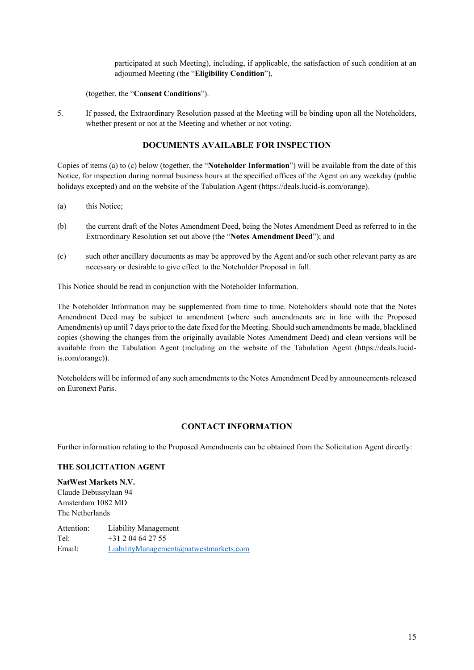participated at such Meeting), including, if applicable, the satisfaction of such condition at an adjourned Meeting (the "**Eligibility Condition**"),

## (together, the "**Consent Conditions**").

<span id="page-14-0"></span>5. If passed, the Extraordinary Resolution passed at the Meeting will be binding upon all the Noteholders, whether present or not at the Meeting and whether or not voting.

## **DOCUMENTS AVAILABLE FOR INSPECTION**

Copies of items [\(a\)](#page-14-1) [t](#page-14-1)o [\(c\)](#page-14-2) below (together, the "**Noteholder Information**") will be available from the date of this Notice, for inspection during normal business hours at the specified offices of the Agent on any weekday (public holidays excepted) and on the website of the Tabulation Agent (https://deals.lucid-is.com/orange).

- <span id="page-14-1"></span>(a) this Notice;
- (b) the current draft of the Notes Amendment Deed, being the Notes Amendment Deed as referred to in the Extraordinary Resolution set out above (the "**Notes Amendment Deed**"); and
- <span id="page-14-2"></span>(c) such other ancillary documents as may be approved by the Agent and/or such other relevant party as are necessary or desirable to give effect to the Noteholder Proposal in full.

This Notice should be read in conjunction with the Noteholder Information.

The Noteholder Information may be supplemented from time to time. Noteholders should note that the Notes Amendment Deed may be subject to amendment (where such amendments are in line with the Proposed Amendments) up until 7 days prior to the date fixed for the Meeting.Should such amendments be made, blacklined copies (showing the changes from the originally available Notes Amendment Deed) and clean versions will be available from the Tabulation Agent (including on the website of the Tabulation Agent (https://deals.lucidis.com/orange)).

Noteholders will be informed of any such amendments to the Notes Amendment Deed by announcements released on Euronext Paris.

### **CONTACT INFORMATION**

Further information relating to the Proposed Amendments can be obtained from the Solicitation Agent directly:

#### **THE SOLICITATION AGENT**

**NatWest Markets N.V.** Claude Debussylaan 94 Amsterdam 1082 MD The Netherlands

Attention: Liability Management Tel: +31 2 04 64 27 55 Email: [LiabilityManagement@natwestmarkets.com](mailto:LiabilityManagement@natwestmarkets.com)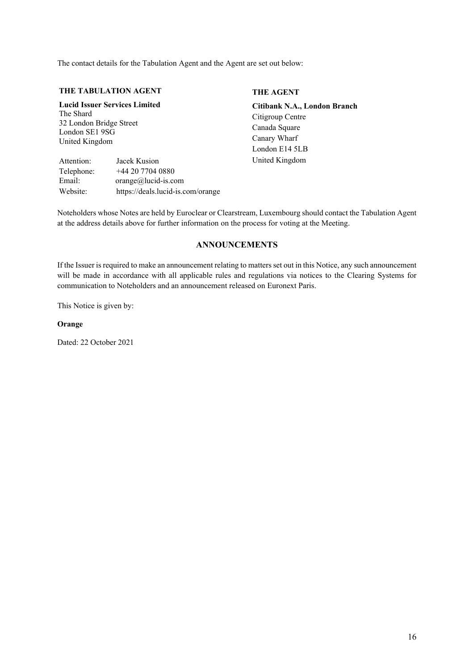The contact details for the Tabulation Agent and the Agent are set out below:

#### **THE TABULATION AGENT**

# **Lucid Issuer Services Limited** The Shard

32 London Bridge Street London SE1 9SG United Kingdom

Attention: Jacek Kusion Telephone: +44 20 7704 0880 Email: orange@lucid-is.com Website: https://deals.lucid-is.com/orange

# **THE AGENT**

**Citibank N.A., London Branch** Citigroup Centre Canada Square Canary Wharf London E14 5LB United Kingdom

Noteholders whose Notes are held by Euroclear or Clearstream, Luxembourg should contact the Tabulation Agent at the address details above for further information on the process for voting at the Meeting.

# **ANNOUNCEMENTS**

If the Issuer is required to make an announcement relating to matters set out in this Notice, any such announcement will be made in accordance with all applicable rules and regulations via notices to the Clearing Systems for communication to Noteholders and an announcement released on Euronext Paris.

This Notice is given by:

#### **Orange**

Dated: 22 October 2021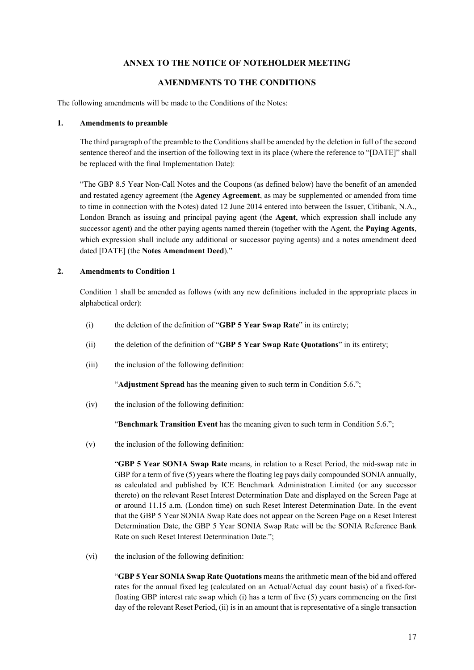# **ANNEX TO THE NOTICE OF NOTEHOLDER MEETING**

## **AMENDMENTS TO THE CONDITIONS**

The following amendments will be made to the Conditions of the Notes:

#### **1. Amendments to preamble**

The third paragraph of the preamble to the Conditions shall be amended by the deletion in full of the second sentence thereof and the insertion of the following text in its place (where the reference to "[DATE]" shall be replaced with the final Implementation Date):

"The GBP 8.5 Year Non-Call Notes and the Coupons (as defined below) have the benefit of an amended and restated agency agreement (the **Agency Agreement**, as may be supplemented or amended from time to time in connection with the Notes) dated 12 June 2014 entered into between the Issuer, Citibank, N.A., London Branch as issuing and principal paying agent (the **Agent**, which expression shall include any successor agent) and the other paying agents named therein (together with the Agent, the **Paying Agents**, which expression shall include any additional or successor paying agents) and a notes amendment deed dated [DATE] (the **Notes Amendment Deed**)."

### **2. Amendments to Condition 1**

Condition 1 shall be amended as follows (with any new definitions included in the appropriate places in alphabetical order):

- (i) the deletion of the definition of "**GBP 5 Year Swap Rate**" in its entirety;
- (ii) the deletion of the definition of "**GBP 5 Year Swap Rate Quotations**" in its entirety;
- (iii) the inclusion of the following definition:

"**Adjustment Spread** has the meaning given to such term in Condition 5.6.";

(iv) the inclusion of the following definition:

"**Benchmark Transition Event** has the meaning given to such term in Condition 5.6.";

 $(v)$  the inclusion of the following definition:

"**GBP 5 Year SONIA Swap Rate** means, in relation to a Reset Period, the mid-swap rate in GBP for a term of five  $(5)$  years where the floating leg pays daily compounded SONIA annually, as calculated and published by ICE Benchmark Administration Limited (or any successor thereto) on the relevant Reset Interest Determination Date and displayed on the Screen Page at or around 11.15 a.m. (London time) on such Reset Interest Determination Date. In the event that the GBP 5 Year SONIA Swap Rate does not appear on the Screen Page on a Reset Interest Determination Date, the GBP 5 Year SONIA Swap Rate will be the SONIA Reference Bank Rate on such Reset Interest Determination Date.";

(vi) the inclusion of the following definition:

"**GBP 5 YearSONIA Swap Rate Quotations** means the arithmetic mean of the bid and offered rates for the annual fixed leg (calculated on an Actual/Actual day count basis) of a fixed-forfloating GBP interest rate swap which (i) has a term of five (5) years commencing on the first day of the relevant Reset Period, (ii) is in an amount that is representative of a single transaction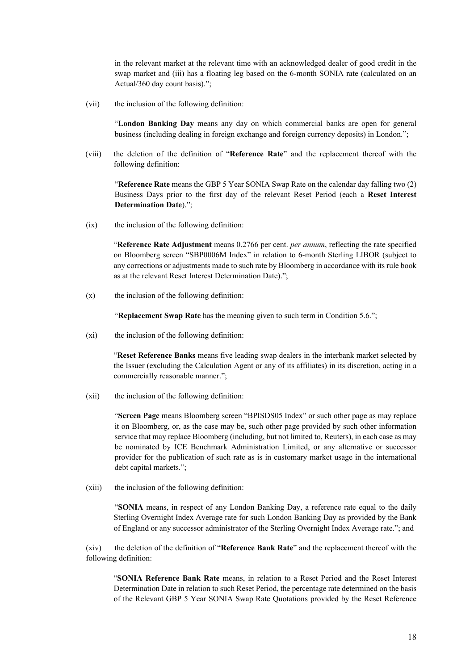in the relevant market at the relevant time with an acknowledged dealer of good credit in the swap market and (iii) has a floating leg based on the 6-month SONIA rate (calculated on an Actual/360 day count basis).";

(vii) the inclusion of the following definition:

"**London Banking Day** means any day on which commercial banks are open for general business (including dealing in foreign exchange and foreign currency deposits) in London.";

(viii) the deletion of the definition of "**Reference Rate**" and the replacement thereof with the following definition:

"**Reference Rate** means the GBP 5 Year SONIA Swap Rate on the calendar day falling two (2) Business Days prior to the first day of the relevant Reset Period (each a **Reset Interest Determination Date**).";

(ix) the inclusion of the following definition:

"**Reference Rate Adjustment** means 0.2766 per cent. *per annum*, reflecting the rate specified on Bloomberg screen "SBP0006M Index" in relation to 6-month Sterling LIBOR (subject to any corrections or adjustments made to such rate by Bloomberg in accordance with its rule book as at the relevant Reset Interest Determination Date).";

 $(x)$  the inclusion of the following definition:

"**Replacement Swap Rate** has the meaning given to such term in Condition 5.6.";

(xi) the inclusion of the following definition:

"**Reset Reference Banks** means five leading swap dealers in the interbank market selected by the Issuer (excluding the Calculation Agent or any of its affiliates) in its discretion, acting in a commercially reasonable manner.";

(xii) the inclusion of the following definition:

"**Screen Page** means Bloomberg screen "BPISDS05 Index" or such other page as may replace it on Bloomberg, or, as the case may be, such other page provided by such other information service that may replace Bloomberg (including, but not limited to, Reuters), in each case as may be nominated by ICE Benchmark Administration Limited, or any alternative or successor provider for the publication of such rate as is in customary market usage in the international debt capital markets.";

(xiii) the inclusion of the following definition:

"**SONIA** means, in respect of any London Banking Day, a reference rate equal to the daily Sterling Overnight Index Average rate for such London Banking Day as provided by the Bank of England or any successor administrator of the Sterling Overnight Index Average rate."; and

(xiv) the deletion of the definition of "**Reference Bank Rate**" and the replacement thereof with the following definition:

"**SONIA Reference Bank Rate** means, in relation to a Reset Period and the Reset Interest Determination Date in relation to such Reset Period, the percentage rate determined on the basis of the Relevant GBP 5 Year SONIA Swap Rate Quotations provided by the Reset Reference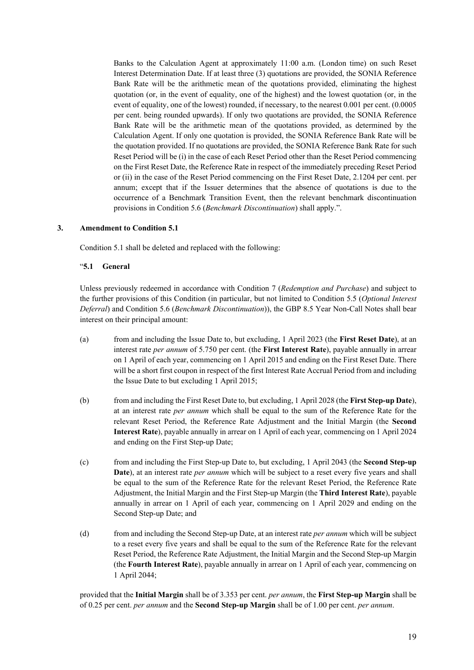Banks to the Calculation Agent at approximately 11:00 a.m. (London time) on such Reset Interest Determination Date. If at least three (3) quotations are provided, the SONIA Reference Bank Rate will be the arithmetic mean of the quotations provided, eliminating the highest quotation (or, in the event of equality, one of the highest) and the lowest quotation (or, in the event of equality, one of the lowest) rounded, if necessary, to the nearest 0.001 per cent. (0.0005 per cent. being rounded upwards). If only two quotations are provided, the SONIA Reference Bank Rate will be the arithmetic mean of the quotations provided, as determined by the Calculation Agent. If only one quotation is provided, the SONIA Reference Bank Rate will be the quotation provided. If no quotations are provided, the SONIA Reference Bank Rate for such Reset Period will be (i) in the case of each Reset Period other than the Reset Period commencing on the First Reset Date, the Reference Rate in respect of the immediately preceding Reset Period or (ii) in the case of the Reset Period commencing on the First Reset Date, 2.1204 per cent. per annum; except that if the Issuer determines that the absence of quotations is due to the occurrence of a Benchmark Transition Event, then the relevant benchmark discontinuation provisions in Condition 5.6 (*Benchmark Discontinuation*) shall apply.".

### **3. Amendment to Condition 5.1**

Condition 5.1 shall be deleted and replaced with the following:

### "**5.1 General**

Unless previously redeemed in accordance with Condition 7 (*Redemption and Purchase*) and subject to the further provisions of this Condition (in particular, but not limited to Condition 5.5 (*Optional Interest Deferral*) and Condition 5.6 (*Benchmark Discontinuation*)), the GBP 8.5 Year Non-Call Notes shall bear interest on their principal amount:

- (a) from and including the Issue Date to, but excluding, 1 April 2023 (the **First Reset Date**), at an interest rate *per annum* of 5.750 per cent. (the **First Interest Rate**), payable annually in arrear on 1 April of each year, commencing on 1 April 2015 and ending on the First Reset Date. There will be a short first coupon in respect of the first Interest Rate Accrual Period from and including the Issue Date to but excluding 1 April 2015;
- (b) from and including theFirst Reset Date to, but excluding, 1 April 2028 (the **FirstStep-up Date**), at an interest rate *per annum* which shall be equal to the sum of the Reference Rate for the relevant Reset Period, the Reference Rate Adjustment and the Initial Margin (the **Second Interest Rate**), payable annually in arrear on 1 April of each year, commencing on 1 April 2024 and ending on the First Step-up Date;
- (c) from and including the First Step-up Date to, but excluding, 1 April 2043 (the **Second Step-up Date**), at an interest rate *per annum* which will be subject to a reset every five years and shall be equal to the sum of the Reference Rate for the relevant Reset Period, the Reference Rate Adjustment, the Initial Margin and the First Step-up Margin (the **Third Interest Rate**), payable annually in arrear on 1 April of each year, commencing on 1 April 2029 and ending on the Second Step-up Date; and
- (d) from and including the Second Step-up Date, at an interest rate *per annum* which will be subject to a reset every five years and shall be equal to the sum of the Reference Rate for the relevant Reset Period, the Reference Rate Adjustment, the Initial Margin and the Second Step-up Margin (the **Fourth Interest Rate**), payable annually in arrear on 1 April of each year, commencing on 1 April 2044;

provided that the **Initial Margin** shall be of 3.353 per cent. *per annum*, the **First Step-up Margin** shall be of 0.25 per cent. *per annum* and the **Second Step-up Margin** shall be of 1.00 per cent. *per annum*.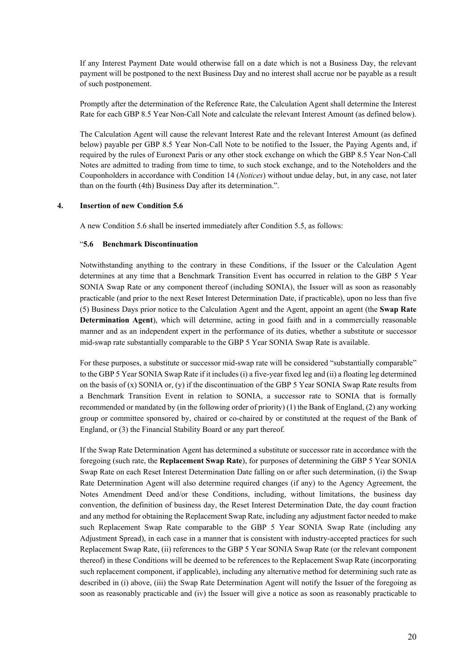If any Interest Payment Date would otherwise fall on a date which is not a Business Day, the relevant payment will be postponed to the next Business Day and no interest shall accrue nor be payable as a result of such postponement.

Promptly after the determination of the Reference Rate, the Calculation Agent shall determine the Interest Rate for each GBP 8.5 Year Non-Call Note and calculate the relevant Interest Amount (as defined below).

The Calculation Agent will cause the relevant Interest Rate and the relevant Interest Amount (as defined below) payable per GBP 8.5 Year Non-Call Note to be notified to the Issuer, the Paying Agents and, if required by the rules of Euronext Paris or any other stock exchange on which the GBP 8.5 Year Non-Call Notes are admitted to trading from time to time, to such stock exchange, and to the Noteholders and the Couponholders in accordance with Condition 14 (*Notices*) without undue delay, but, in any case, not later than on the fourth (4th) Business Day after its determination.".

#### **4. Insertion of new Condition 5.6**

A new Condition 5.6 shall be inserted immediately after Condition 5.5, as follows:

#### "**5.6 Benchmark Discontinuation**

Notwithstanding anything to the contrary in these Conditions, if the Issuer or the Calculation Agent determines at any time that a Benchmark Transition Event has occurred in relation to the GBP 5 Year SONIA Swap Rate or any component thereof (including SONIA), the Issuer will as soon as reasonably practicable (and prior to the next Reset Interest Determination Date, if practicable), upon no less than five (5) Business Days prior notice to the Calculation Agent and the Agent, appoint an agent (the **Swap Rate Determination Agent**), which will determine, acting in good faith and in a commercially reasonable manner and as an independent expert in the performance of its duties, whether a substitute or successor mid-swap rate substantially comparable to the GBP 5 Year SONIA Swap Rate is available.

For these purposes, a substitute or successor mid-swap rate will be considered "substantially comparable" to the GBP5 YearSONIA Swap Rate if it includes (i) a five-year fixed leg and (ii) a floating leg determined on the basis of  $(x)$  SONIA or,  $(y)$  if the discontinuation of the GBP 5 Year SONIA Swap Rate results from a Benchmark Transition Event in relation to SONIA, a successor rate to SONIA that is formally recommended or mandated by (in the following order of priority) (1) the Bank of England, (2) any working group or committee sponsored by, chaired or co-chaired by or constituted at the request of the Bank of England, or (3) the Financial Stability Board or any part thereof.

If the Swap Rate Determination Agent has determined a substitute or successor rate in accordance with the foregoing (such rate, the **Replacement Swap Rate**), for purposes of determining the GBP 5 Year SONIA Swap Rate on each Reset Interest Determination Date falling on or after such determination, (i) the Swap Rate Determination Agent will also determine required changes (if any) to the Agency Agreement, the Notes Amendment Deed and/or these Conditions, including, without limitations, the business day convention, the definition of business day, the Reset Interest Determination Date, the day count fraction and any method for obtaining the Replacement Swap Rate, including any adjustment factor needed to make such Replacement Swap Rate comparable to the GBP 5 Year SONIA Swap Rate (including any Adjustment Spread), in each case in a manner that is consistent with industry-accepted practices for such Replacement Swap Rate, (ii) references to the GBP 5 Year SONIA Swap Rate (or the relevant component thereof) in these Conditions will be deemed to be references to the Replacement Swap Rate (incorporating such replacement component, if applicable), including any alternative method for determining such rate as described in (i) above, (iii) the Swap Rate Determination Agent will notify the Issuer of the foregoing as soon as reasonably practicable and (iv) the Issuer will give a notice as soon as reasonably practicable to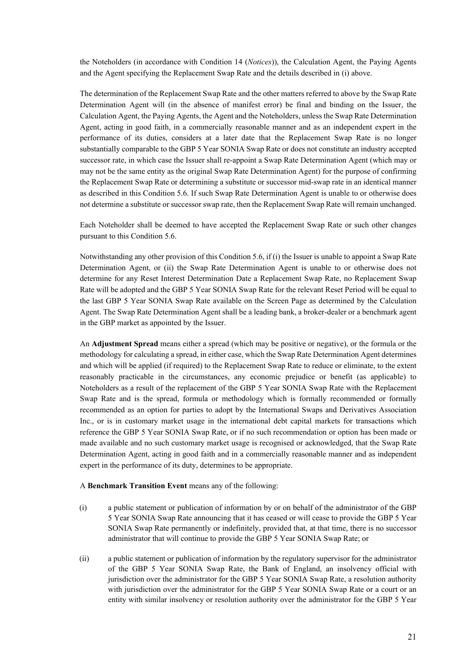the Noteholders (in accordance with Condition 14 (*Notices*)), the Calculation Agent, the Paying Agents and the Agent specifying the Replacement Swap Rate and the details described in (i) above.

The determination of the Replacement Swap Rate and the other matters referred to above by the Swap Rate Determination Agent will (in the absence of manifest error) be final and binding on the Issuer, the Calculation Agent, the Paying Agents, the Agent and the Noteholders, unless the Swap Rate Determination Agent, acting in good faith, in a commercially reasonable manner and as an independent expert in the performance of its duties, considers at a later date that the Replacement Swap Rate is no longer substantially comparable to the GBP 5 Year SONIA Swap Rate or does not constitute an industry accepted successor rate, in which case the Issuer shall re-appoint a Swap Rate Determination Agent (which may or may not be the same entity as the original Swap Rate Determination Agent) for the purpose of confirming the Replacement Swap Rate or determining a substitute or successor mid-swap rate in an identical manner as described in this Condition 5.6. If such Swap Rate Determination Agent is unable to or otherwise does not determine a substitute or successor swap rate, then the Replacement Swap Rate will remain unchanged.

Each Noteholder shall be deemed to have accepted the Replacement Swap Rate or such other changes pursuant to this Condition 5.6.

Notwithstanding any other provision of this Condition 5.6, if (i) the Issuer is unable to appoint a Swap Rate Determination Agent, or (ii) the Swap Rate Determination Agent is unable to or otherwise does not determine for any Reset Interest Determination Date a Replacement Swap Rate, no Replacement Swap Rate will be adopted and the GBP 5 Year SONIA Swap Rate for the relevant Reset Period will be equal to the last GBP 5 Year SONIA Swap Rate available on the Screen Page as determined by the Calculation Agent. The Swap Rate Determination Agent shall be a leading bank, a broker-dealer or a benchmark agent in the GBP market as appointed by the Issuer.

An **Adjustment Spread** means either a spread (which may be positive or negative), or the formula or the methodology for calculating a spread, in either case, which the Swap Rate Determination Agent determines and which will be applied (if required) to the Replacement Swap Rate to reduce or eliminate, to the extent reasonably practicable in the circumstances, any economic prejudice or benefit (as applicable) to Noteholders as a result of the replacement of the GBP 5 Year SONIA Swap Rate with the Replacement Swap Rate and is the spread, formula or methodology which is formally recommended or formally recommended as an option for parties to adopt by the International Swaps and Derivatives Association Inc., or is in customary market usage in the international debt capital markets for transactions which reference the GBP 5 Year SONIA Swap Rate, or if no such recommendation or option has been made or made available and no such customary market usage is recognised or acknowledged, that the Swap Rate Determination Agent, acting in good faith and in a commercially reasonable manner and as independent expert in the performance of its duty, determines to be appropriate.

A **Benchmark Transition Event** means any of the following:

- (i) a public statement or publication of information by or on behalf of the administrator of the GBP 5 Year SONIA Swap Rate announcing that it has ceased or will cease to provide the GBP 5 Year SONIA Swap Rate permanently or indefinitely, provided that, at that time, there is no successor administrator that will continue to provide the GBP 5 Year SONIA Swap Rate; or
- (ii) a public statement or publication of information by the regulatory supervisor for the administrator of the GBP 5 Year SONIA Swap Rate, the Bank of England, an insolvency official with jurisdiction over the administrator for the GBP 5 Year SONIA Swap Rate, a resolution authority with jurisdiction over the administrator for the GBP 5 Year SONIA Swap Rate or a court or an entity with similar insolvency or resolution authority over the administrator for the GBP 5 Year